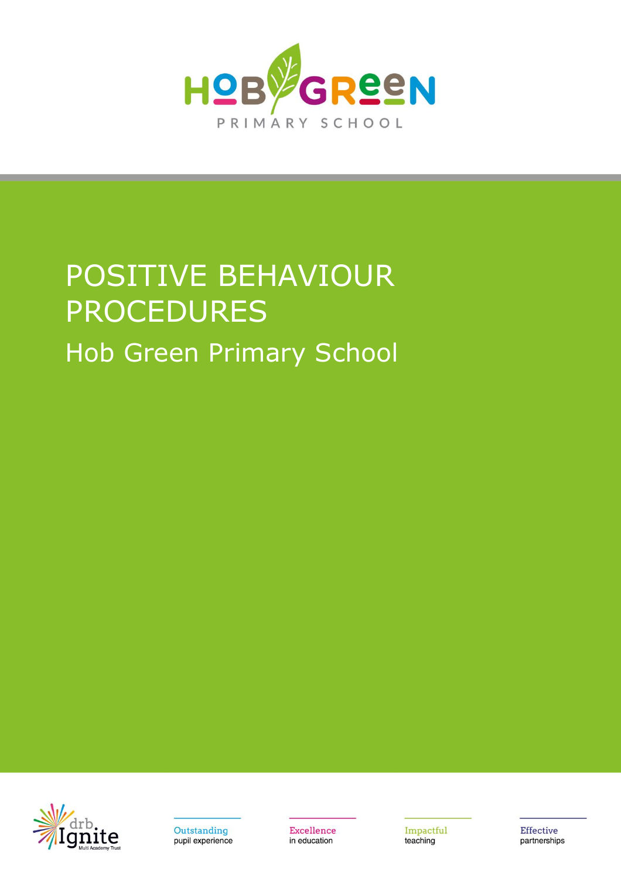

# POSITIVE BEHAVIOUR PROCEDURES Hob Green Primary School





**Excellence** in education

Impactful teaching

Effective partnerships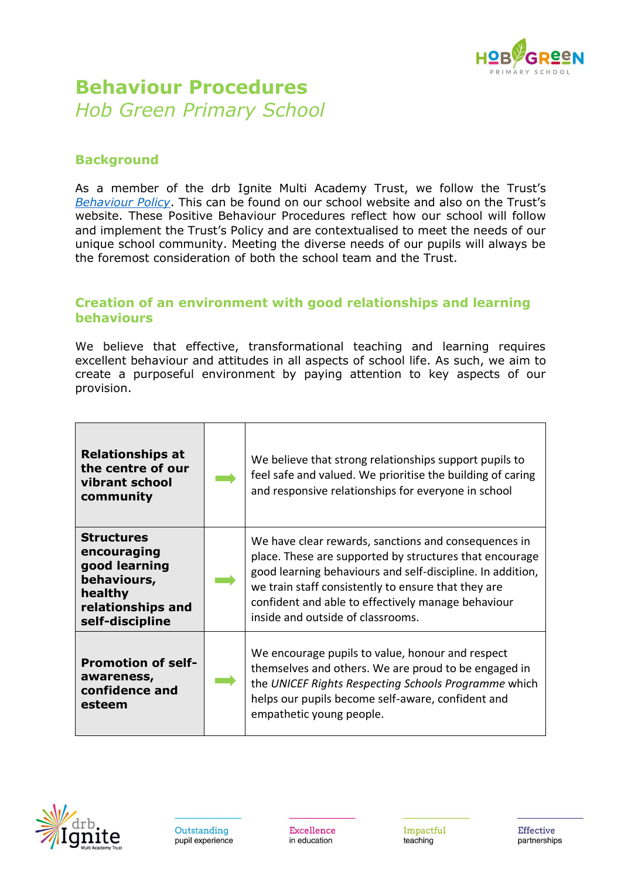

# **Behaviour Procedures** *Hob Green Primary School*

# **Background**

As a member of the drb Ignite Multi Academy Trust, we follow the Trust's *[Behaviour Policy](https://drbignitemat.org/wp-content/uploads/PDF/Schools/Policies/Education/Behaviour-Policy.pdf)*. This can be found on our school website and also on the Trust's website. These Positive Behaviour Procedures reflect how our school will follow and implement the Trust's Policy and are contextualised to meet the needs of our unique school community. Meeting the diverse needs of our pupils will always be the foremost consideration of both the school team and the Trust.

# **Creation of an environment with good relationships and learning behaviours**

We believe that effective, transformational teaching and learning requires excellent behaviour and attitudes in all aspects of school life. As such, we aim to create a purposeful environment by paying attention to key aspects of our provision.

| <b>Relationships at</b><br>the centre of our<br>vibrant school<br>community                                         | We believe that strong relationships support pupils to<br>feel safe and valued. We prioritise the building of caring<br>and responsive relationships for everyone in school                                                                                                                                                     |
|---------------------------------------------------------------------------------------------------------------------|---------------------------------------------------------------------------------------------------------------------------------------------------------------------------------------------------------------------------------------------------------------------------------------------------------------------------------|
| <b>Structures</b><br>encouraging<br>good learning<br>behaviours,<br>healthy<br>relationships and<br>self-discipline | We have clear rewards, sanctions and consequences in<br>place. These are supported by structures that encourage<br>good learning behaviours and self-discipline. In addition,<br>we train staff consistently to ensure that they are<br>confident and able to effectively manage behaviour<br>inside and outside of classrooms. |
| <b>Promotion of self-</b><br>awareness,<br>confidence and<br>esteem                                                 | We encourage pupils to value, honour and respect<br>themselves and others. We are proud to be engaged in<br>the UNICEF Rights Respecting Schools Programme which<br>helps our pupils become self-aware, confident and<br>empathetic young people.                                                                               |

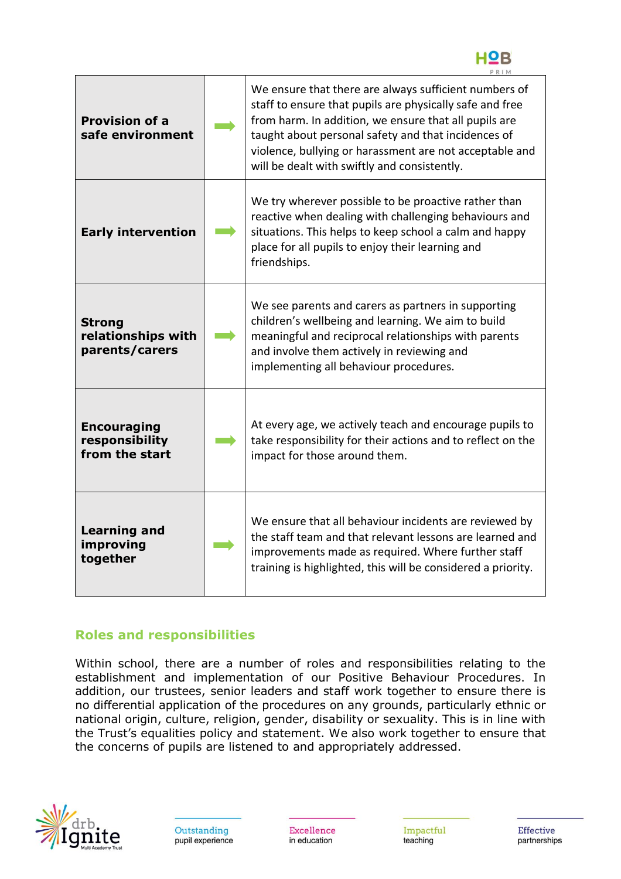

| <b>Provision of a</b><br>safe environment              | We ensure that there are always sufficient numbers of<br>staff to ensure that pupils are physically safe and free<br>from harm. In addition, we ensure that all pupils are<br>taught about personal safety and that incidences of<br>violence, bullying or harassment are not acceptable and<br>will be dealt with swiftly and consistently. |  |
|--------------------------------------------------------|----------------------------------------------------------------------------------------------------------------------------------------------------------------------------------------------------------------------------------------------------------------------------------------------------------------------------------------------|--|
| <b>Early intervention</b>                              | We try wherever possible to be proactive rather than<br>reactive when dealing with challenging behaviours and<br>situations. This helps to keep school a calm and happy<br>place for all pupils to enjoy their learning and<br>friendships.                                                                                                  |  |
| <b>Strong</b><br>relationships with<br>parents/carers  | We see parents and carers as partners in supporting<br>children's wellbeing and learning. We aim to build<br>meaningful and reciprocal relationships with parents<br>and involve them actively in reviewing and<br>implementing all behaviour procedures.                                                                                    |  |
| <b>Encouraging</b><br>responsibility<br>from the start | At every age, we actively teach and encourage pupils to<br>take responsibility for their actions and to reflect on the<br>impact for those around them.                                                                                                                                                                                      |  |
| <b>Learning and</b><br>improving<br>together           | We ensure that all behaviour incidents are reviewed by<br>the staff team and that relevant lessons are learned and<br>improvements made as required. Where further staff<br>training is highlighted, this will be considered a priority.                                                                                                     |  |

# **Roles and responsibilities**

Within school, there are a number of roles and responsibilities relating to the establishment and implementation of our Positive Behaviour Procedures. In addition, our trustees, senior leaders and staff work together to ensure there is no differential application of the procedures on any grounds, particularly ethnic or national origin, culture, religion, gender, disability or sexuality. This is in line with the Trust's equalities policy and statement. We also work together to ensure that the concerns of pupils are listened to and appropriately addressed.



Excellence in education

Impactful teaching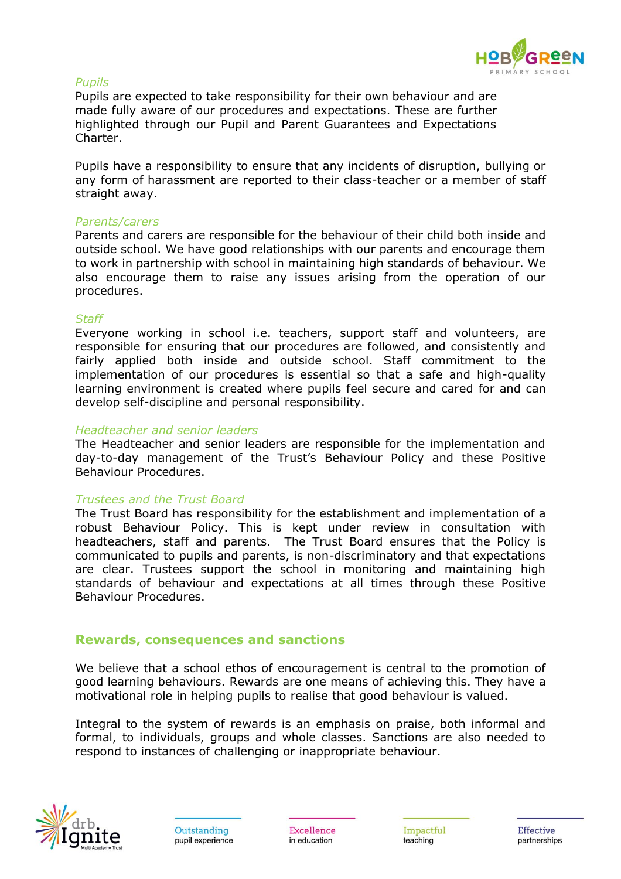

#### *Pupils*

Pupils are expected to take responsibility for their own behaviour and are made fully aware of our procedures and expectations. These are further highlighted through our Pupil and Parent Guarantees and Expectations Charter.

Pupils have a responsibility to ensure that any incidents of disruption, bullying or any form of harassment are reported to their class-teacher or a member of staff straight away.

#### *Parents/carers*

Parents and carers are responsible for the behaviour of their child both inside and outside school. We have good relationships with our parents and encourage them to work in partnership with school in maintaining high standards of behaviour. We also encourage them to raise any issues arising from the operation of our procedures.

#### *Staff*

Everyone working in school i.e. teachers, support staff and volunteers, are responsible for ensuring that our procedures are followed, and consistently and fairly applied both inside and outside school. Staff commitment to the implementation of our procedures is essential so that a safe and high-quality learning environment is created where pupils feel secure and cared for and can develop self-discipline and personal responsibility.

#### *Headteacher and senior leaders*

The Headteacher and senior leaders are responsible for the implementation and day-to-day management of the Trust's Behaviour Policy and these Positive Behaviour Procedures.

#### *Trustees and the Trust Board*

The Trust Board has responsibility for the establishment and implementation of a robust Behaviour Policy. This is kept under review in consultation with headteachers, staff and parents. The Trust Board ensures that the Policy is communicated to pupils and parents, is non-discriminatory and that expectations are clear. Trustees support the school in monitoring and maintaining high standards of behaviour and expectations at all times through these Positive Behaviour Procedures.

#### **Rewards, consequences and sanctions**

We believe that a school ethos of encouragement is central to the promotion of good learning behaviours. Rewards are one means of achieving this. They have a motivational role in helping pupils to realise that good behaviour is valued.

Integral to the system of rewards is an emphasis on praise, both informal and formal, to individuals, groups and whole classes. Sanctions are also needed to respond to instances of challenging or inappropriate behaviour.



Excellence in education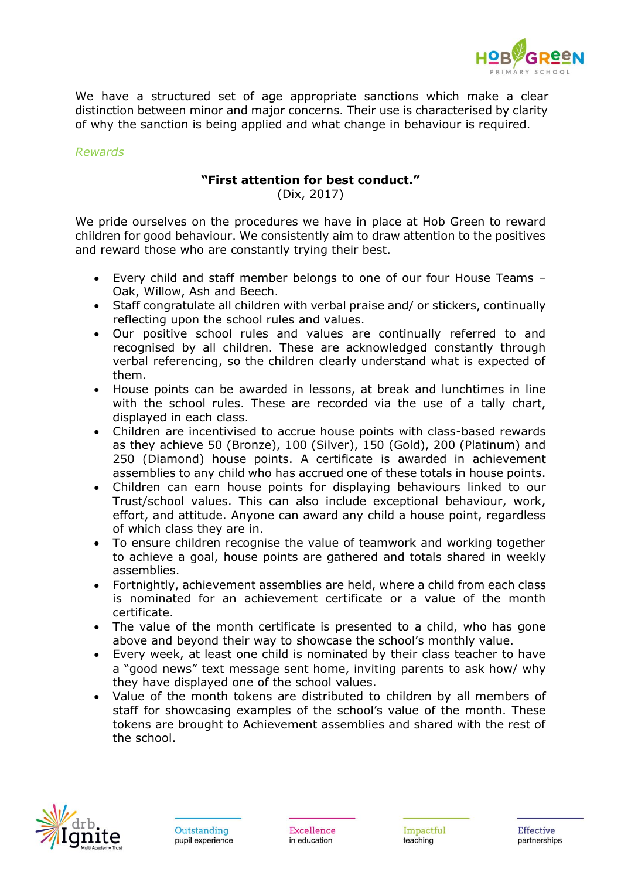

We have a structured set of age appropriate sanctions which make a clear distinction between minor and major concerns. Their use is characterised by clarity of why the sanction is being applied and what change in behaviour is required.

#### *Rewards*

## **"First attention for best conduct."**

(Dix, 2017)

We pride ourselves on the procedures we have in place at Hob Green to reward children for good behaviour. We consistently aim to draw attention to the positives and reward those who are constantly trying their best.

- Every child and staff member belongs to one of our four House Teams Oak, Willow, Ash and Beech.
- Staff congratulate all children with verbal praise and/ or stickers, continually reflecting upon the school rules and values.
- Our positive school rules and values are continually referred to and recognised by all children. These are acknowledged constantly through verbal referencing, so the children clearly understand what is expected of them.
- House points can be awarded in lessons, at break and lunchtimes in line with the school rules. These are recorded via the use of a tally chart, displayed in each class.
- Children are incentivised to accrue house points with class-based rewards as they achieve 50 (Bronze), 100 (Silver), 150 (Gold), 200 (Platinum) and 250 (Diamond) house points. A certificate is awarded in achievement assemblies to any child who has accrued one of these totals in house points.
- Children can earn house points for displaying behaviours linked to our Trust/school values. This can also include exceptional behaviour, work, effort, and attitude. Anyone can award any child a house point, regardless of which class they are in.
- To ensure children recognise the value of teamwork and working together to achieve a goal, house points are gathered and totals shared in weekly assemblies.
- Fortnightly, achievement assemblies are held, where a child from each class is nominated for an achievement certificate or a value of the month certificate.
- The value of the month certificate is presented to a child, who has gone above and beyond their way to showcase the school's monthly value.
- Every week, at least one child is nominated by their class teacher to have a "good news" text message sent home, inviting parents to ask how/ why they have displayed one of the school values.
- Value of the month tokens are distributed to children by all members of staff for showcasing examples of the school's value of the month. These tokens are brought to Achievement assemblies and shared with the rest of the school.

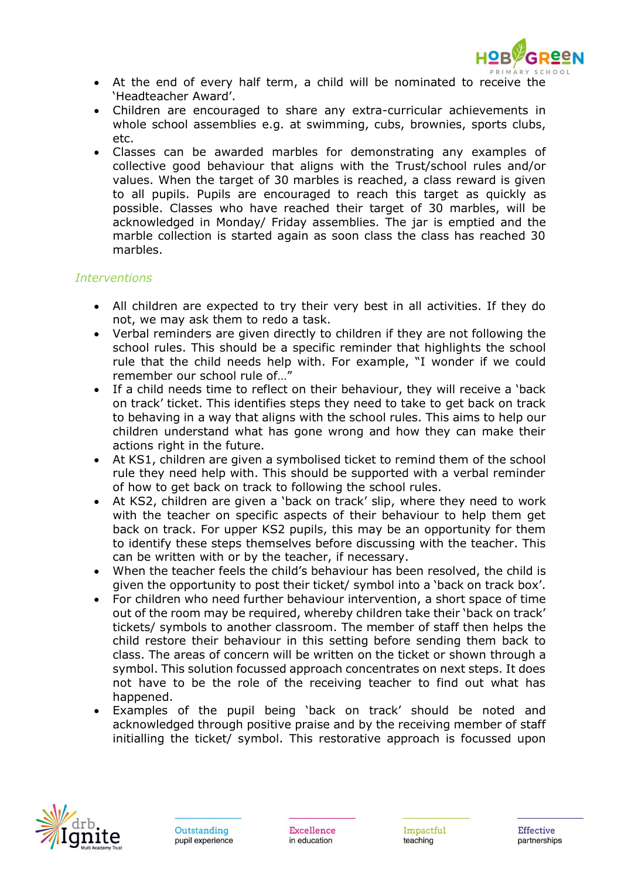

- At the end of every half term, a child will be nominated to receive the 'Headteacher Award'.
- Children are encouraged to share any extra-curricular achievements in whole school assemblies e.g. at swimming, cubs, brownies, sports clubs, etc.
- Classes can be awarded marbles for demonstrating any examples of collective good behaviour that aligns with the Trust/school rules and/or values. When the target of 30 marbles is reached, a class reward is given to all pupils. Pupils are encouraged to reach this target as quickly as possible. Classes who have reached their target of 30 marbles, will be acknowledged in Monday/ Friday assemblies. The jar is emptied and the marble collection is started again as soon class the class has reached 30 marbles.

## *Interventions*

- All children are expected to try their very best in all activities. If they do not, we may ask them to redo a task.
- Verbal reminders are given directly to children if they are not following the school rules. This should be a specific reminder that highlights the school rule that the child needs help with. For example, "I wonder if we could remember our school rule of "
- If a child needs time to reflect on their behaviour, they will receive a 'back on track' ticket. This identifies steps they need to take to get back on track to behaving in a way that aligns with the school rules. This aims to help our children understand what has gone wrong and how they can make their actions right in the future.
- At KS1, children are given a symbolised ticket to remind them of the school rule they need help with. This should be supported with a verbal reminder of how to get back on track to following the school rules.
- At KS2, children are given a 'back on track' slip, where they need to work with the teacher on specific aspects of their behaviour to help them get back on track. For upper KS2 pupils, this may be an opportunity for them to identify these steps themselves before discussing with the teacher. This can be written with or by the teacher, if necessary.
- When the teacher feels the child's behaviour has been resolved, the child is given the opportunity to post their ticket/ symbol into a 'back on track box'.
- For children who need further behaviour intervention, a short space of time out of the room may be required, whereby children take their 'back on track' tickets/ symbols to another classroom. The member of staff then helps the child restore their behaviour in this setting before sending them back to class. The areas of concern will be written on the ticket or shown through a symbol. This solution focussed approach concentrates on next steps. It does not have to be the role of the receiving teacher to find out what has happened.
- Examples of the pupil being 'back on track' should be noted and acknowledged through positive praise and by the receiving member of staff initialling the ticket/ symbol. This restorative approach is focussed upon

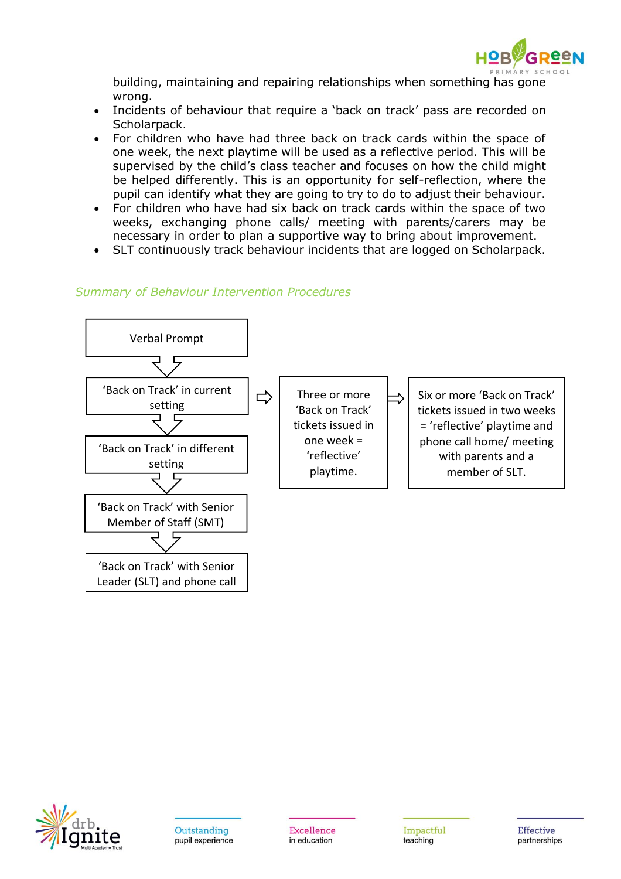

building, maintaining and repairing relationships when something has gone wrong.

- Incidents of behaviour that require a 'back on track' pass are recorded on Scholarpack.
- For children who have had three back on track cards within the space of one week, the next playtime will be used as a reflective period. This will be supervised by the child's class teacher and focuses on how the child might be helped differently. This is an opportunity for self-reflection, where the pupil can identify what they are going to try to do to adjust their behaviour.
- For children who have had six back on track cards within the space of two weeks, exchanging phone calls/ meeting with parents/carers may be necessary in order to plan a supportive way to bring about improvement.
- SLT continuously track behaviour incidents that are logged on Scholarpack.

## *Summary of Behaviour Intervention Procedures*



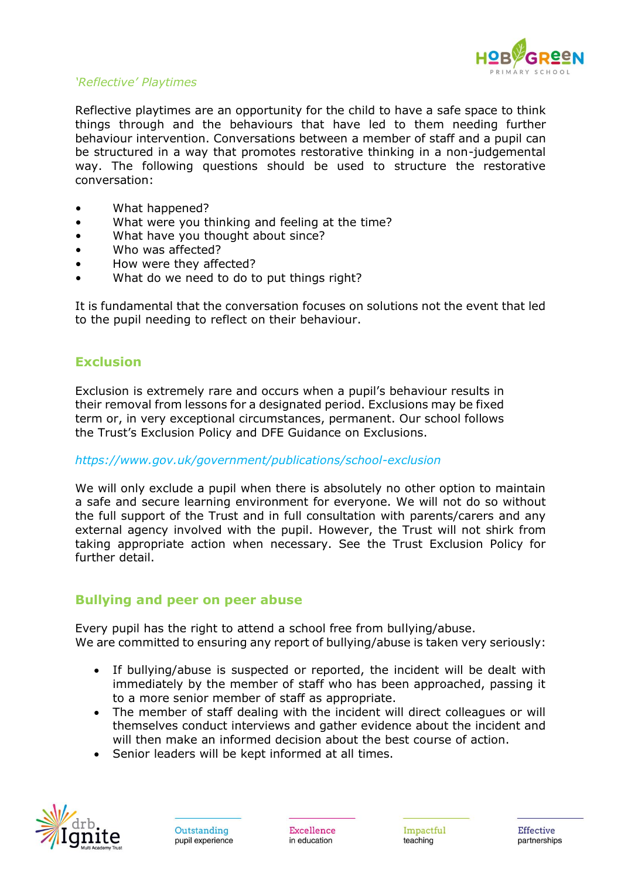

# *'Reflective' Playtimes*

Reflective playtimes are an opportunity for the child to have a safe space to think things through and the behaviours that have led to them needing further behaviour intervention. Conversations between a member of staff and a pupil can be structured in a way that promotes restorative thinking in a non-judgemental way. The following questions should be used to structure the restorative conversation:

- What happened?
- What were you thinking and feeling at the time?
- What have you thought about since?
- Who was affected?
- How were they affected?
- What do we need to do to put things right?

It is fundamental that the conversation focuses on solutions not the event that led to the pupil needing to reflect on their behaviour.

# **Exclusion**

Exclusion is extremely rare and occurs when a pupil's behaviour results in their removal from lessons for a designated period. Exclusions may be fixed term or, in very exceptional circumstances, permanent. Our school follows the Trust's Exclusion Policy and DFE Guidance on Exclusions.

#### *<https://www.gov.uk/government/publications/school-exclusion>*

We will only exclude a pupil when there is absolutely no other option to maintain a safe and secure learning environment for everyone. We will not do so without the full support of the Trust and in full consultation with parents/carers and any external agency involved with the pupil. However, the Trust will not shirk from taking appropriate action when necessary. See the Trust Exclusion Policy for further detail.

## **Bullying and peer on peer abuse**

Every pupil has the right to attend a school free from bullying/abuse. We are committed to ensuring any report of bullying/abuse is taken very seriously:

- If bullying/abuse is suspected or reported, the incident will be dealt with immediately by the member of staff who has been approached, passing it to a more senior member of staff as appropriate.
- The member of staff dealing with the incident will direct colleagues or will themselves conduct interviews and gather evidence about the incident and will then make an informed decision about the best course of action.
- Senior leaders will be kept informed at all times.